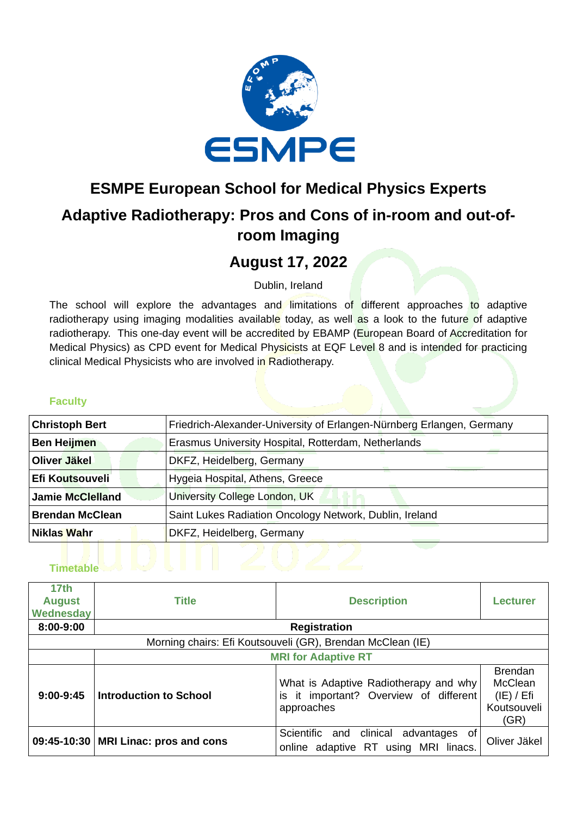

# **ESMPE European School for Medical Physics Experts Adaptive Radiotherapy: Pros and Cons of in-room and out-ofroom Imaging**

## **August 17, 2022**

Dublin, Ireland

The school will explore the advantages and limitations of different approaches to adaptive radiotherapy using imaging modalities available today, as well as a look to the future of adaptive radiotherapy. This one-day event will be accredited by EBAMP (European Board of Accreditation for Medical Physics) as CPD event for Medical Physicists at EQF Level 8 and is intended for practicing clinical Medical Physicists who are involved in Radiotherapy.

#### **Faculty**

| <b>Christoph Bert</b>   | Friedrich-Alexander-University of Erlangen-Nürnberg Erlangen, Germany |  |
|-------------------------|-----------------------------------------------------------------------|--|
| <b>Ben Heijmen</b>      | Erasmus University Hospital, Rotterdam, Netherlands                   |  |
| Oliver Jäkel            | DKFZ, Heidelberg, Germany                                             |  |
| Efi Koutsouveli         | Hygeia Hospital, Athens, Greece                                       |  |
| <b>Jamie McClelland</b> | University College London, UK                                         |  |
| <b>Brendan McClean</b>  | Saint Lukes Radiation Oncology Network, Dublin, Ireland               |  |
| Niklas Wahr             | DKFZ, Heidelberg, Germany                                             |  |

| 17 <sub>th</sub><br><b>August</b><br>Wednesday             | <b>Title</b>                           | <b>Description</b>                                                                               | <b>Lecturer</b>                                                |  |  |  |
|------------------------------------------------------------|----------------------------------------|--------------------------------------------------------------------------------------------------|----------------------------------------------------------------|--|--|--|
| 8:00-9:00                                                  | <b>Registration</b>                    |                                                                                                  |                                                                |  |  |  |
| Morning chairs: Efi Koutsouveli (GR), Brendan McClean (IE) |                                        |                                                                                                  |                                                                |  |  |  |
|                                                            | <b>MRI for Adaptive RT</b>             |                                                                                                  |                                                                |  |  |  |
| $9:00-9:45$                                                | Introduction to School                 | What is Adaptive Radiotherapy and why<br>it important? Overview of different<br>is<br>approaches | <b>Brendan</b><br>McClean<br>(IE) / Efi<br>Koutsouveli<br>(GR) |  |  |  |
|                                                            | 09:45-10:30   MRI Linac: pros and cons | Scientific and<br>advantages of<br>clinical<br>adaptive RT using MRI linacs.<br>online           | Oliver Jäkel                                                   |  |  |  |